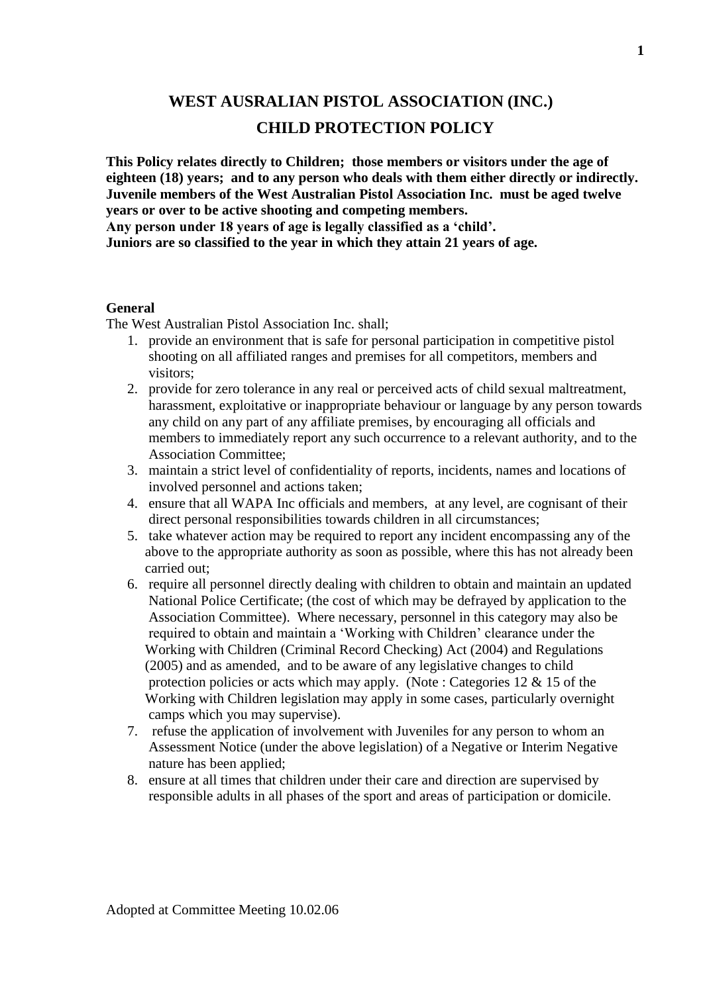# **WEST AUSRALIAN PISTOL ASSOCIATION (INC.) CHILD PROTECTION POLICY**

**This Policy relates directly to Children; those members or visitors under the age of eighteen (18) years; and to any person who deals with them either directly or indirectly. Juvenile members of the West Australian Pistol Association Inc. must be aged twelve years or over to be active shooting and competing members.**

**Any person under 18 years of age is legally classified as a 'child'. Juniors are so classified to the year in which they attain 21 years of age.**

#### **General**

The West Australian Pistol Association Inc. shall;

- 1. provide an environment that is safe for personal participation in competitive pistol shooting on all affiliated ranges and premises for all competitors, members and visitors;
- 2. provide for zero tolerance in any real or perceived acts of child sexual maltreatment, harassment, exploitative or inappropriate behaviour or language by any person towards any child on any part of any affiliate premises, by encouraging all officials and members to immediately report any such occurrence to a relevant authority, and to the Association Committee;
- 3. maintain a strict level of confidentiality of reports, incidents, names and locations of involved personnel and actions taken;
- 4. ensure that all WAPA Inc officials and members, at any level, are cognisant of their direct personal responsibilities towards children in all circumstances;
- 5. take whatever action may be required to report any incident encompassing any of the above to the appropriate authority as soon as possible, where this has not already been carried out;
- 6. require all personnel directly dealing with children to obtain and maintain an updated National Police Certificate; (the cost of which may be defrayed by application to the Association Committee). Where necessary, personnel in this category may also be required to obtain and maintain a 'Working with Children' clearance under the Working with Children (Criminal Record Checking) Act (2004) and Regulations (2005) and as amended, and to be aware of any legislative changes to child protection policies or acts which may apply. (Note : Categories  $12 \& 15$  of the Working with Children legislation may apply in some cases, particularly overnight camps which you may supervise).
- 7. refuse the application of involvement with Juveniles for any person to whom an Assessment Notice (under the above legislation) of a Negative or Interim Negative nature has been applied;
- 8. ensure at all times that children under their care and direction are supervised by responsible adults in all phases of the sport and areas of participation or domicile.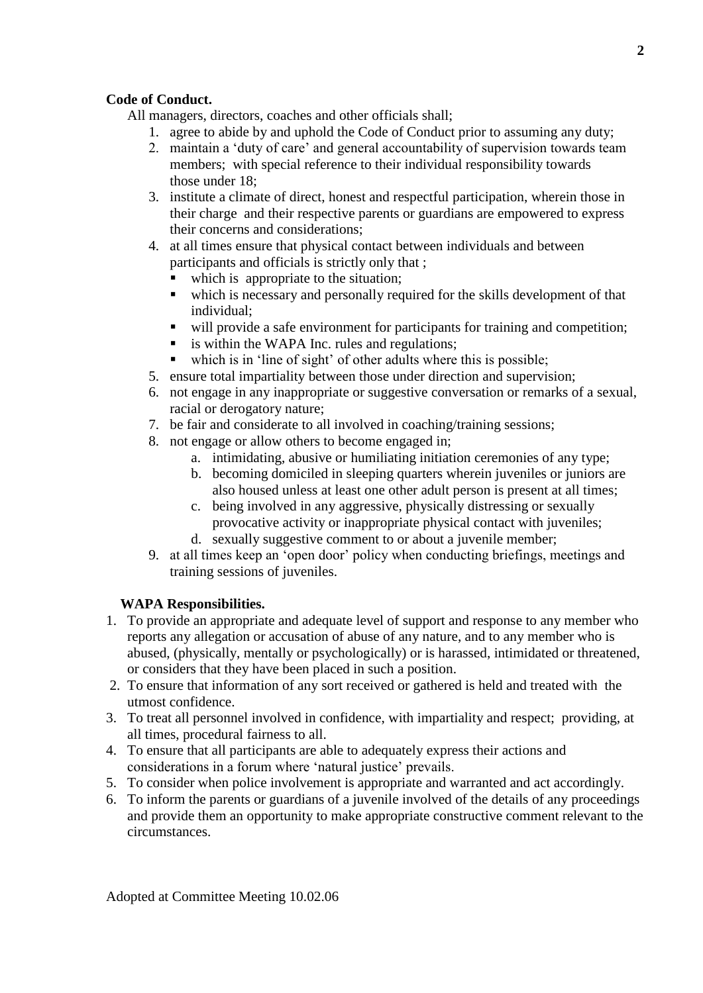## **Code of Conduct.**

All managers, directors, coaches and other officials shall;

- 1. agree to abide by and uphold the Code of Conduct prior to assuming any duty;
- 2. maintain a 'duty of care' and general accountability of supervision towards team members; with special reference to their individual responsibility towards those under 18;
- 3. institute a climate of direct, honest and respectful participation, wherein those in their charge and their respective parents or guardians are empowered to express their concerns and considerations;
- 4. at all times ensure that physical contact between individuals and between participants and officials is strictly only that ;
	- which is appropriate to the situation;
	- which is necessary and personally required for the skills development of that individual;
	- will provide a safe environment for participants for training and competition;
	- is within the WAPA Inc. rules and regulations:
	- which is in 'line of sight' of other adults where this is possible;
- 5. ensure total impartiality between those under direction and supervision;
- 6. not engage in any inappropriate or suggestive conversation or remarks of a sexual, racial or derogatory nature;
- 7. be fair and considerate to all involved in coaching/training sessions;
- 8. not engage or allow others to become engaged in;
	- a. intimidating, abusive or humiliating initiation ceremonies of any type;
	- b. becoming domiciled in sleeping quarters wherein juveniles or juniors are also housed unless at least one other adult person is present at all times;
	- c. being involved in any aggressive, physically distressing or sexually provocative activity or inappropriate physical contact with juveniles;
	- d. sexually suggestive comment to or about a juvenile member;
- 9. at all times keep an 'open door' policy when conducting briefings, meetings and training sessions of juveniles.

### **WAPA Responsibilities.**

- 1. To provide an appropriate and adequate level of support and response to any member who reports any allegation or accusation of abuse of any nature, and to any member who is abused, (physically, mentally or psychologically) or is harassed, intimidated or threatened, or considers that they have been placed in such a position.
- 2. To ensure that information of any sort received or gathered is held and treated with the utmost confidence.
- 3. To treat all personnel involved in confidence, with impartiality and respect; providing, at all times, procedural fairness to all.
- 4. To ensure that all participants are able to adequately express their actions and considerations in a forum where 'natural justice' prevails.
- 5. To consider when police involvement is appropriate and warranted and act accordingly.
- 6. To inform the parents or guardians of a juvenile involved of the details of any proceedings and provide them an opportunity to make appropriate constructive comment relevant to the circumstances.